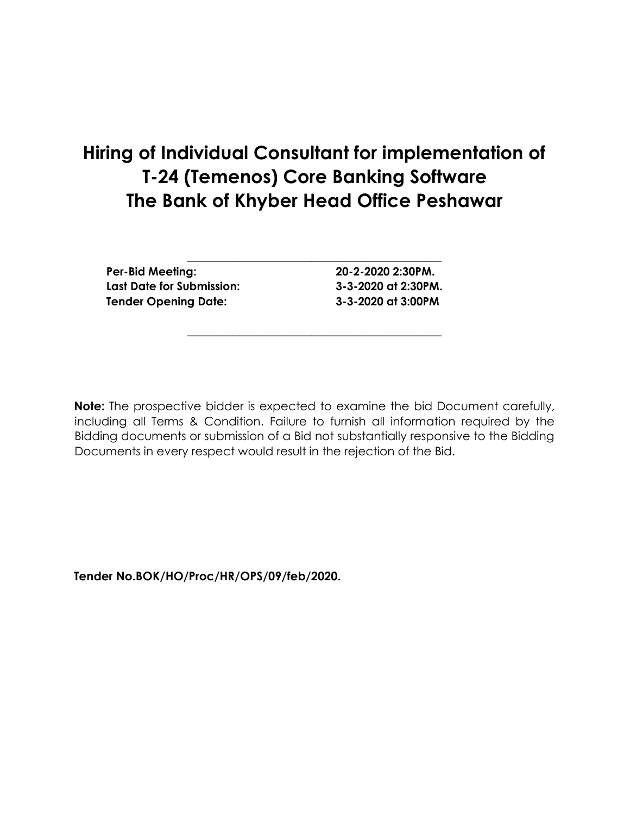# **Hiring of Individual Consultant for implementation of T-24 (Temenos) Core Banking Software The Bank of Khyber Head Office Peshawar**

**Per-Bid Meeting: 20-2-2020 2:30PM. Last Date for Submission: 3-3-2020 at 2:30PM. Tender Opening Date: 3-3-2020 at 3:00PM**

**\_\_\_\_\_\_\_\_\_\_\_\_\_\_\_\_\_\_\_\_\_\_\_\_\_\_\_\_\_\_\_\_\_\_\_\_\_\_\_\_\_\_\_\_\_**

**Note:** The prospective bidder is expected to examine the bid Document carefully, including all Terms & Condition. Failure to furnish all information required by the Bidding documents or submission of a Bid not substantially responsive to the Bidding Documents in every respect would result in the rejection of the Bid.

**\_\_\_\_\_\_\_\_\_\_\_\_\_\_\_\_\_\_\_\_\_\_\_\_\_\_\_\_\_\_\_\_\_\_\_\_\_\_\_\_\_\_\_\_\_**

**Tender No.BOK/HO/Proc/HR/OPS/09/feb/2020.**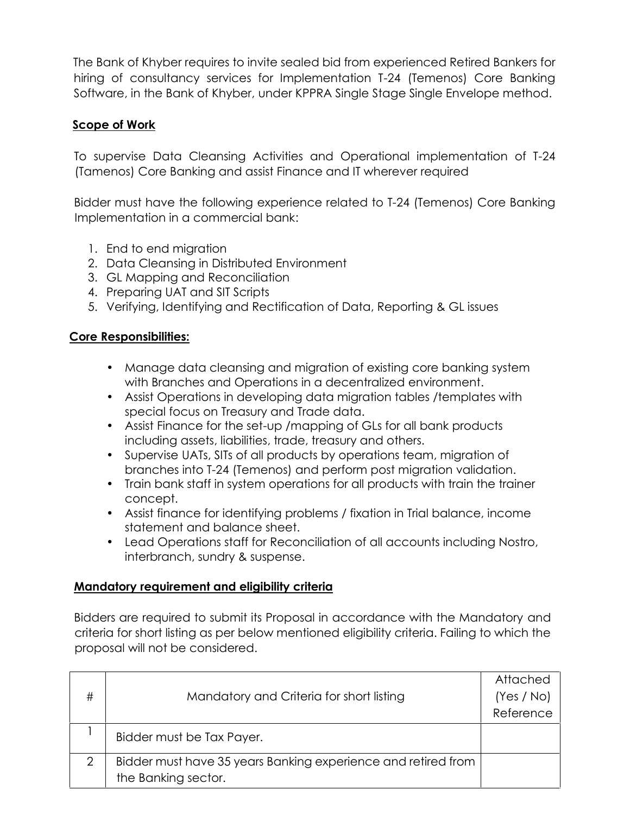The Bank of Khyber requires to invite sealed bid from experienced Retired Bankers for hiring of consultancy services for Implementation T-24 (Temenos) Core Banking Software, in the Bank of Khyber, under KPPRA Single Stage Single Envelope method.

# **Scope of Work**

To supervise Data Cleansing Activities and Operational implementation of T-24 (Tamenos) Core Banking and assist Finance and IT wherever required

Bidder must have the following experience related to T-24 (Temenos) Core Banking Implementation in a commercial bank:

- 1. End to end migration
- 2. Data Cleansing in Distributed Environment
- 3. GL Mapping and Reconciliation
- 4. Preparing UAT and SIT Scripts
- 5. Verifying, Identifying and Rectification of Data, Reporting & GL issues

## **Core Responsibilities:**

- Manage data cleansing and migration of existing core banking system with Branches and Operations in a decentralized environment.
- Assist Operations in developing data migration tables /templates with special focus on Treasury and Trade data.
- Assist Finance for the set-up /mapping of GLs for all bank products including assets, liabilities, trade, treasury and others.
- Supervise UATs, SITs of all products by operations team, migration of branches into T-24 (Temenos) and perform post migration validation.
- Train bank staff in system operations for all products with train the trainer concept.
- Assist finance for identifying problems / fixation in Trial balance, income statement and balance sheet.
- Lead Operations staff for Reconciliation of all accounts including Nostro, interbranch, sundry & suspense.

## **Mandatory requirement and eligibility criteria**

Bidders are required to submit its Proposal in accordance with the Mandatory and criteria for short listing as per below mentioned eligibility criteria. Failing to which the proposal will not be considered.

|                |                                                               | Attached   |
|----------------|---------------------------------------------------------------|------------|
| #              | Mandatory and Criteria for short listing                      | (Yes / No) |
|                |                                                               | Reference  |
|                | Bidder must be Tax Payer.                                     |            |
| $\overline{2}$ | Bidder must have 35 years Banking experience and retired from |            |
|                | the Banking sector.                                           |            |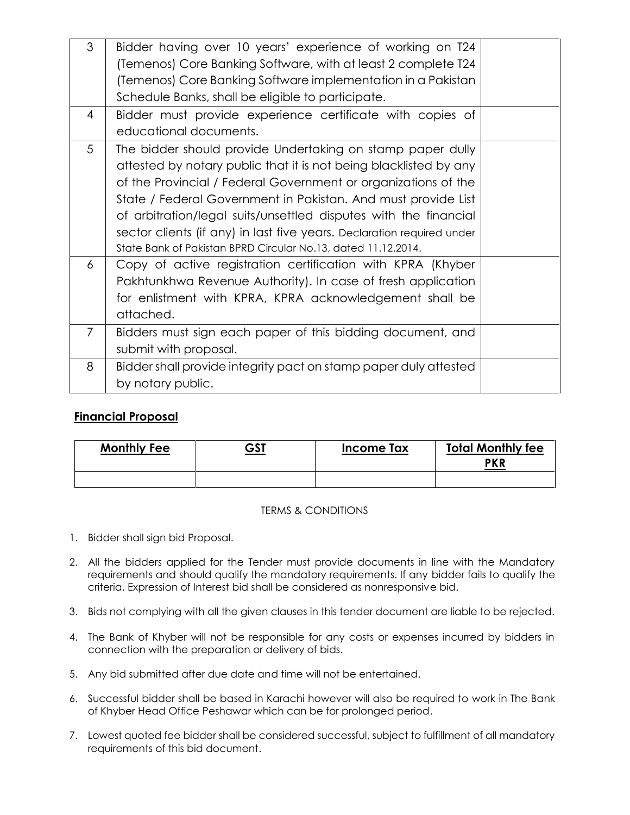| 3<br>$\overline{4}$ | Bidder having over 10 years' experience of working on T24<br>(Temenos) Core Banking Software, with at least 2 complete T24<br>(Temenos) Core Banking Software implementation in a Pakistan<br>Schedule Banks, shall be eligible to participate.<br>Bidder must provide experience certificate with copies of                                                                                                                                                                      |  |
|---------------------|-----------------------------------------------------------------------------------------------------------------------------------------------------------------------------------------------------------------------------------------------------------------------------------------------------------------------------------------------------------------------------------------------------------------------------------------------------------------------------------|--|
|                     | educational documents.                                                                                                                                                                                                                                                                                                                                                                                                                                                            |  |
| 5                   | The bidder should provide Undertaking on stamp paper dully<br>attested by notary public that it is not being blacklisted by any<br>of the Provincial / Federal Government or organizations of the<br>State / Federal Government in Pakistan. And must provide List<br>of arbitration/legal suits/unsettled disputes with the financial<br>sector clients (if any) in last five years. Declaration required under<br>State Bank of Pakistan BPRD Circular No.13, dated 11.12.2014. |  |
| 6                   | Copy of active registration certification with KPRA (Khyber<br>Pakhtunkhwa Revenue Authority). In case of fresh application<br>for enlistment with KPRA, KPRA acknowledgement shall be<br>attached.                                                                                                                                                                                                                                                                               |  |
| 7                   | Bidders must sign each paper of this bidding document, and<br>submit with proposal.                                                                                                                                                                                                                                                                                                                                                                                               |  |
| 8                   | Bidder shall provide integrity pact on stamp paper duly attested<br>by notary public.                                                                                                                                                                                                                                                                                                                                                                                             |  |

## **Financial Proposal**

| <b>Monthly Fee</b> | <u>GST</u> | <b>Income Tax</b> | <b>Total Monthly fee</b><br><b>PKR</b> |
|--------------------|------------|-------------------|----------------------------------------|
|                    |            |                   |                                        |

### TERMS & CONDITIONS

- 1. Bidder shall sign bid Proposal.
- 2. All the bidders applied for the Tender must provide documents in line with the Mandatory requirements and should qualify the mandatory requirements. If any bidder fails to qualify the criteria, Expression of Interest bid shall be considered as nonresponsive bid.
- 3. Bids not complying with all the given clauses in this tender document are liable to be rejected.
- 4. The Bank of Khyber will not be responsible for any costs or expenses incurred by bidders in connection with the preparation or delivery of bids.
- 5. Any bid submitted after due date and time will not be entertained.
- 6. Successful bidder shall be based in Karachi however will also be required to work in The Bank of Khyber Head Office Peshawar which can be for prolonged period.
- 7. Lowest quoted fee bidder shall be considered successful, subject to fulfillment of all mandatory requirements of this bid document.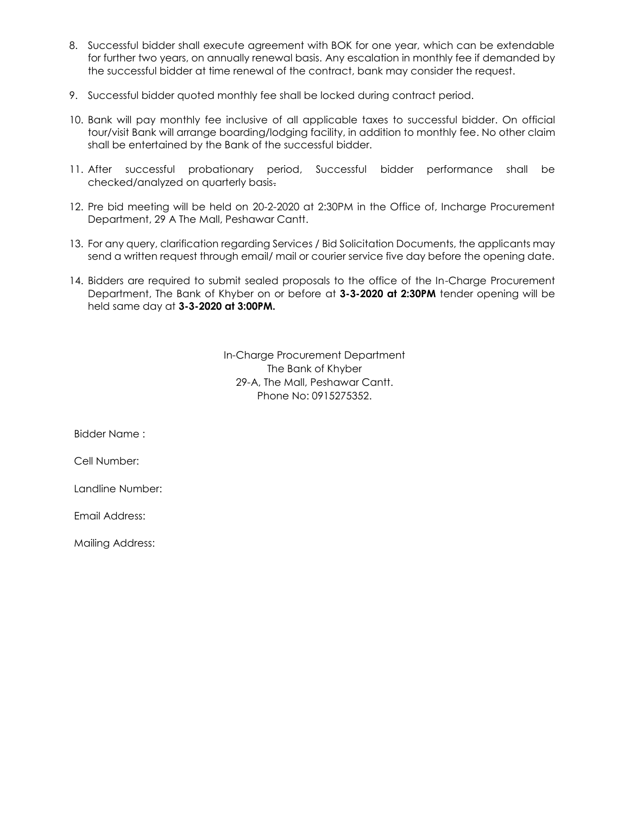- 8. Successful bidder shall execute agreement with BOK for one year, which can be extendable for further two years, on annually renewal basis. Any escalation in monthly fee if demanded by the successful bidder at time renewal of the contract, bank may consider the request.
- 9. Successful bidder quoted monthly fee shall be locked during contract period.
- 10. Bank will pay monthly fee inclusive of all applicable taxes to successful bidder. On official tour/visit Bank will arrange boarding/lodging facility, in addition to monthly fee. No other claim shall be entertained by the Bank of the successful bidder.
- 11. After successful probationary period, Successful bidder performance shall be checked/analyzed on quarterly basis.
- 12. Pre bid meeting will be held on 20-2-2020 at 2:30PM in the Office of, Incharge Procurement Department, 29 A The Mall, Peshawar Cantt.
- 13. For any query, clarification regarding Services / Bid Solicitation Documents, the applicants may send a written request through email/ mail or courier service five day before the opening date.
- 14. Bidders are required to submit sealed proposals to the office of the In-Charge Procurement Department, The Bank of Khyber on or before at **3-3-2020 at 2:30PM** tender opening will be held same day at **3-3-2020 at 3:00PM.**

In-Charge Procurement Department The Bank of Khyber 29-A, The Mall, Peshawar Cantt. Phone No: 0915275352.

Bidder Name :

Cell Number:

Landline Number:

Email Address:

Mailing Address: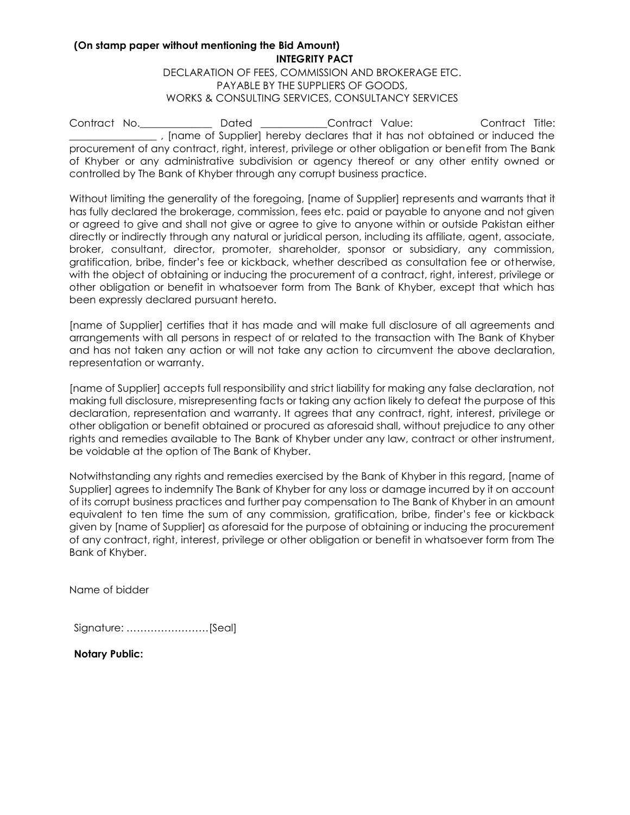#### **(On stamp paper without mentioning the Bid Amount) INTEGRITY PACT**

DECLARATION OF FEES, COMMISSION AND BROKERAGE ETC. PAYABLE BY THE SUPPLIERS OF GOODS, WORKS & CONSULTING SERVICES, CONSULTANCY SERVICES

Contract No.\_\_\_\_\_\_\_\_\_\_\_\_\_\_ Dated \_\_\_\_\_\_\_\_\_\_\_\_\_Contract Value: Contract Title:  $\_$ , [name of Supplier] hereby declares that it has not obtained or induced the procurement of any contract, right, interest, privilege or other obligation or benefit from The Bank of Khyber or any administrative subdivision or agency thereof or any other entity owned or controlled by The Bank of Khyber through any corrupt business practice.

Without limiting the generality of the foregoing, [name of Supplier] represents and warrants that it has fully declared the brokerage, commission, fees etc. paid or payable to anyone and not given or agreed to give and shall not give or agree to give to anyone within or outside Pakistan either directly or indirectly through any natural or juridical person, including its affiliate, agent, associate, broker, consultant, director, promoter, shareholder, sponsor or subsidiary, any commission, gratification, bribe, finder's fee or kickback, whether described as consultation fee or otherwise, with the object of obtaining or inducing the procurement of a contract, right, interest, privilege or other obligation or benefit in whatsoever form from The Bank of Khyber, except that which has been expressly declared pursuant hereto.

[name of Supplier] certifies that it has made and will make full disclosure of all agreements and arrangements with all persons in respect of or related to the transaction with The Bank of Khyber and has not taken any action or will not take any action to circumvent the above declaration, representation or warranty.

[name of Supplier] accepts full responsibility and strict liability for making any false declaration, not making full disclosure, misrepresenting facts or taking any action likely to defeat the purpose of this declaration, representation and warranty. It agrees that any contract, right, interest, privilege or other obligation or benefit obtained or procured as aforesaid shall, without prejudice to any other rights and remedies available to The Bank of Khyber under any law, contract or other instrument, be voidable at the option of The Bank of Khyber.

Notwithstanding any rights and remedies exercised by the Bank of Khyber in this regard, [name of Supplier] agrees to indemnify The Bank of Khyber for any loss or damage incurred by it on account of its corrupt business practices and further pay compensation to The Bank of Khyber in an amount equivalent to ten time the sum of any commission, gratification, bribe, finder's fee or kickback given by [name of Supplier] as aforesaid for the purpose of obtaining or inducing the procurement of any contract, right, interest, privilege or other obligation or benefit in whatsoever form from The Bank of Khyber.

Name of bidder

Signature: ……………………[Seal]

**Notary Public:**